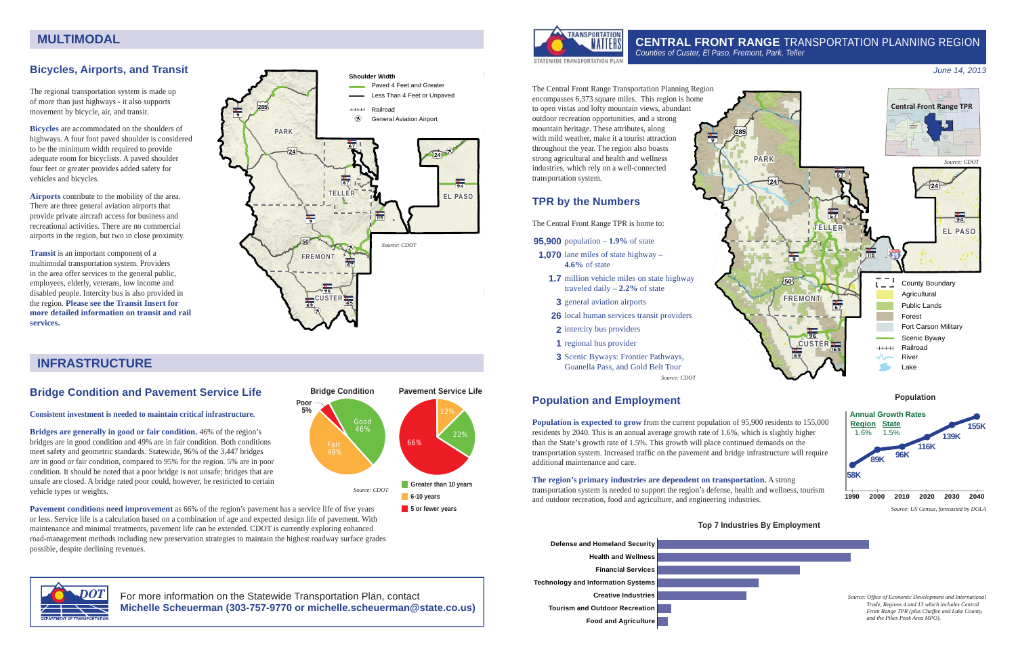*Source: US Census, forecasted by DOLA*

# **CENTRAL FRONT RANGE** TRANSPORTATION PLANNING REGION



The Central Front Range Transportation Planning Region encompasses 6,373 square miles. This region is home to open vistas and lofty mountain views, abundant outdoor recreation opportunities, and a strong mountain heritage. These attributes, along with mild weather, make it a tourist attraction throughout the year. The region also boasts strong agricultural and health and wellness industries, which rely on a well-connected transportation system.

### **TPR by the Numbers**

The Central Front Range TPR is home to:

- **95,900** population **1.9%** of state
- **1,070** lane miles of state highway **4.6%** of state
- **1.7** million vehicle miles on state highway traveled daily – **2.2%** of state
- **3** general aviation airports
- **26** local human services transit providers
- **2** intercity bus providers
- **1** regional bus provider
- **3** Scenic Byways: Frontier Pathways, Guanella Pass, and Gold Belt Tour

*Source: CDOT*

#### *June 14, 2013*





### **Bicycles, Airports, and Transit**

The regional transportation system is made up of more than just highways - it also supports movement by bicycle, air, and transit.

**Pavement conditions need improvement** as 66% of the region's pavement has a service life of five years or less. Service life is a calculation based on a combination of age and expected design life of pavement. With maintenance and minimal treatments, pavement life can be extended. CDOT is currently exploring enhanced road-management methods including new preservation strategies to maintain the highest roadway surface grades possible, despite declining revenues.

**Bicycles** are accommodated on the shoulders of highways. A four foot paved shoulder is considered to be the minimum width required to provide adequate room for bicyclists. A paved shoulder four feet or greater provides added safety for vehicles and bicycles.

**Airports** contribute to the mobility of the area. There are three general aviation airports that provide private aircraft access for business and recreational activities. There are no commercial airports in the region, but two in close proximity.

> **Population is expected to grow** from the current population of 95,900 residents to 155,000 residents by 2040. This is an annual average growth rate of 1.6%, which is slightly higher than the State's growth rate of 1.5%. This growth will place continued demands on the transportation system. Increased traffic on the pavement and bridge infrastructure will require additional maintenance and care.



**Transit** is an important component of a multimodal transportation system. Providers in the area offer services to the general public, employees, elderly, veterans, low income and disabled people. Intercity bus is also provided in the region. **Please see the Transit Insert for more detailed information on transit and rail services.**

### **Bridge Condition and Pavement Service Life**

#### **Consistent investment is needed to maintain critical infrastructure.**

**Bridges are generally in good or fair condition.** 46% of the region's bridges are in good condition and 49% are in fair condition. Both conditions meet safety and geometric standards. Statewide, 96% of the 3,447 bridges are in good or fair condition, compared to 95% for the region. 5% are in poor condition. It should be noted that a poor bridge is not unsafe; bridges that are unsafe are closed. A bridge rated poor could, however, be restricted to certain vehicle types or weights.

### **MULTIMODAL**

### **INFRASTRUCTURE**



For more information on the Statewide Transportation Plan, contact **Michelle Scheuerman (303-757-9770 or michelle.scheuerman@state.co.us)**

### **Population and Employment**

**The region's primary industries are dependent on transportation.** A strong transportation system is needed to support the region's defense, health and wellness, tourism and outdoor recreation, food and agriculture, and engineering industries.









*Source: Offi ce of Economic Development and International Trade, Regions 4 and 13 which includes Central Front Range TPR (plus Chaffee and Lake County, and the Pikes Peak Area MPO).*